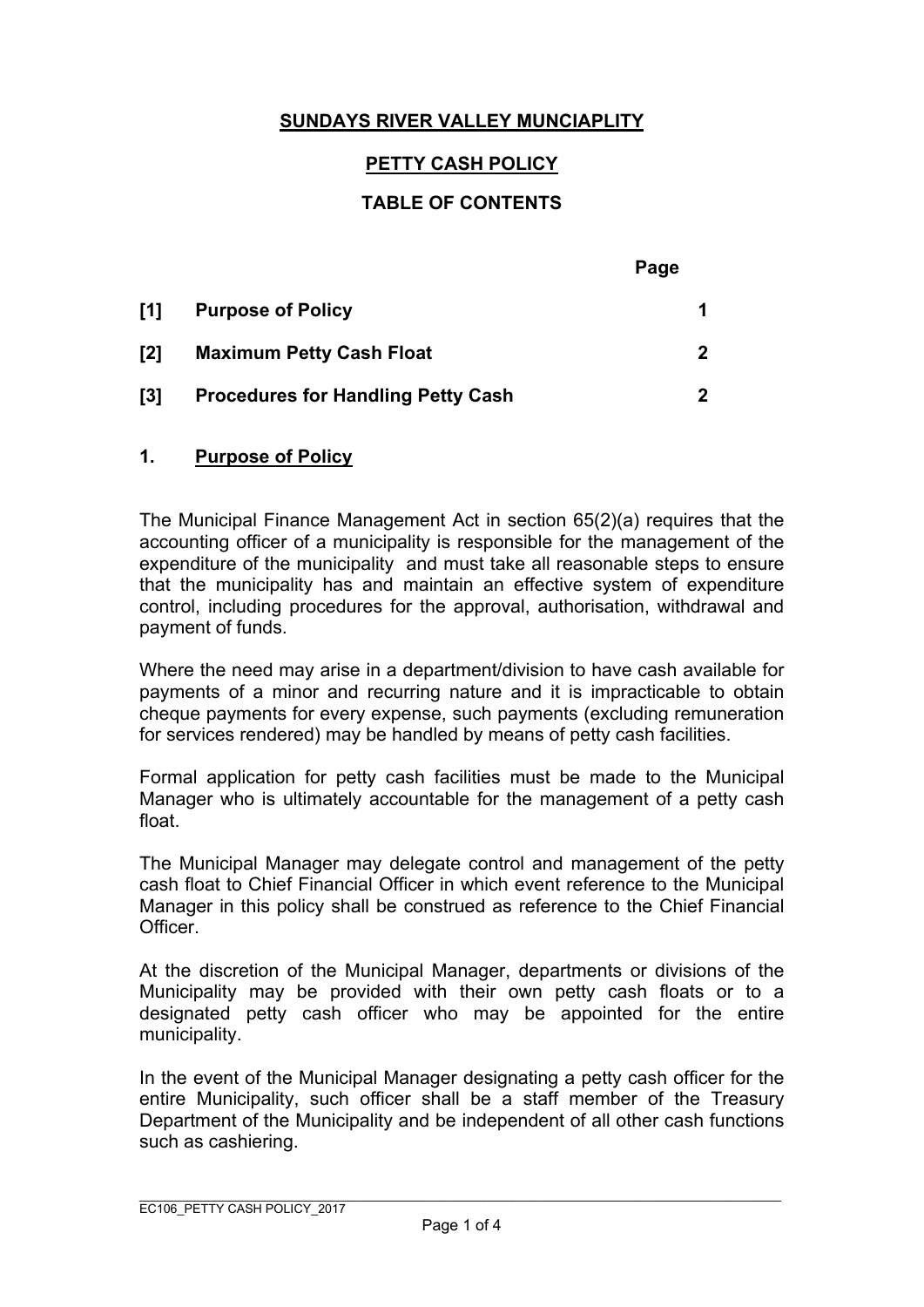## **SUNDAYS RIVER VALLEY MUNCIAPLITY**

### **PETTY CASH POLICY**

#### **TABLE OF CONTENTS**

|                         |                                           | Page         |
|-------------------------|-------------------------------------------|--------------|
| [1]                     | <b>Purpose of Policy</b>                  |              |
| $\mathsf{I2}$           | <b>Maximum Petty Cash Float</b>           | $\mathbf{2}$ |
| $\mathsf{I}3\mathsf{I}$ | <b>Procedures for Handling Petty Cash</b> | 2            |

#### **1. Purpose of Policy**

The Municipal Finance Management Act in section 65(2)(a) requires that the accounting officer of a municipality is responsible for the management of the expenditure of the municipality and must take all reasonable steps to ensure that the municipality has and maintain an effective system of expenditure control, including procedures for the approval, authorisation, withdrawal and payment of funds.

Where the need may arise in a department/division to have cash available for payments of a minor and recurring nature and it is impracticable to obtain cheque payments for every expense, such payments (excluding remuneration for services rendered) may be handled by means of petty cash facilities.

Formal application for petty cash facilities must be made to the Municipal Manager who is ultimately accountable for the management of a petty cash float.

The Municipal Manager may delegate control and management of the petty cash float to Chief Financial Officer in which event reference to the Municipal Manager in this policy shall be construed as reference to the Chief Financial Officer.

At the discretion of the Municipal Manager, departments or divisions of the Municipality may be provided with their own petty cash floats or to a designated petty cash officer who may be appointed for the entire municipality.

In the event of the Municipal Manager designating a petty cash officer for the entire Municipality, such officer shall be a staff member of the Treasury Department of the Municipality and be independent of all other cash functions such as cashiering.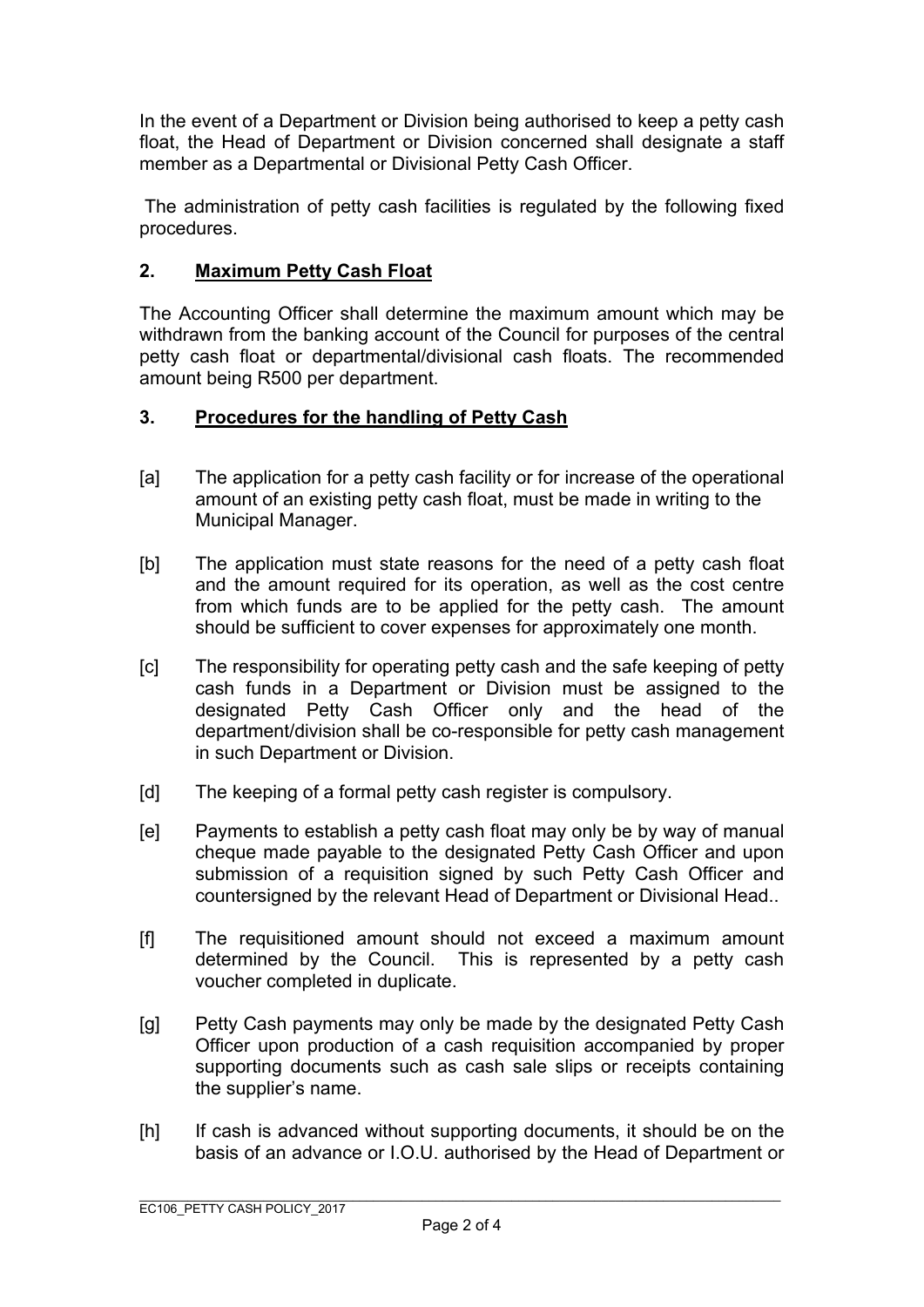In the event of a Department or Division being authorised to keep a petty cash float, the Head of Department or Division concerned shall designate a staff member as a Departmental or Divisional Petty Cash Officer.

 The administration of petty cash facilities is regulated by the following fixed procedures.

## **2. Maximum Petty Cash Float**

The Accounting Officer shall determine the maximum amount which may be withdrawn from the banking account of the Council for purposes of the central petty cash float or departmental/divisional cash floats. The recommended amount being R500 per department.

# **3. Procedures for the handling of Petty Cash**

- [a] The application for a petty cash facility or for increase of the operational amount of an existing petty cash float, must be made in writing to the Municipal Manager.
- [b] The application must state reasons for the need of a petty cash float and the amount required for its operation, as well as the cost centre from which funds are to be applied for the petty cash. The amount should be sufficient to cover expenses for approximately one month.
- [c] The responsibility for operating petty cash and the safe keeping of petty cash funds in a Department or Division must be assigned to the designated Petty Cash Officer only and the head of the department/division shall be co-responsible for petty cash management in such Department or Division.
- [d] The keeping of a formal petty cash register is compulsory.
- [e] Payments to establish a petty cash float may only be by way of manual cheque made payable to the designated Petty Cash Officer and upon submission of a requisition signed by such Petty Cash Officer and countersigned by the relevant Head of Department or Divisional Head..
- [f] The requisitioned amount should not exceed a maximum amount determined by the Council. This is represented by a petty cash voucher completed in duplicate.
- [g] Petty Cash payments may only be made by the designated Petty Cash Officer upon production of a cash requisition accompanied by proper supporting documents such as cash sale slips or receipts containing the supplier's name.
- [h] If cash is advanced without supporting documents, it should be on the basis of an advance or I.O.U. authorised by the Head of Department or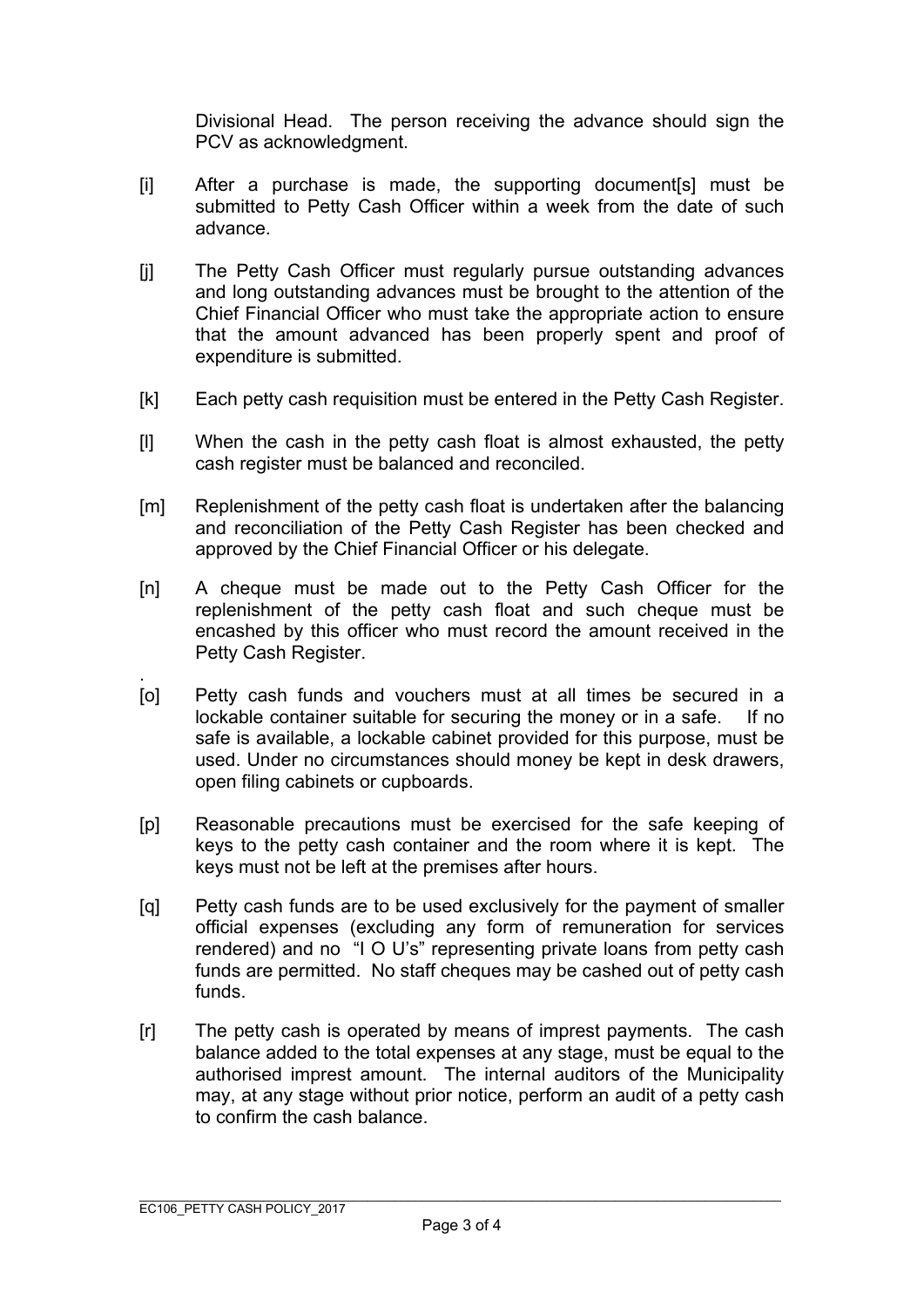Divisional Head. The person receiving the advance should sign the PCV as acknowledgment.

- [i] After a purchase is made, the supporting document[s] must be submitted to Petty Cash Officer within a week from the date of such advance.
- [j] The Petty Cash Officer must regularly pursue outstanding advances and long outstanding advances must be brought to the attention of the Chief Financial Officer who must take the appropriate action to ensure that the amount advanced has been properly spent and proof of expenditure is submitted.
- [k] Each petty cash requisition must be entered in the Petty Cash Register.
- [l] When the cash in the petty cash float is almost exhausted, the petty cash register must be balanced and reconciled.
- [m] Replenishment of the petty cash float is undertaken after the balancing and reconciliation of the Petty Cash Register has been checked and approved by the Chief Financial Officer or his delegate.
- [n] A cheque must be made out to the Petty Cash Officer for the replenishment of the petty cash float and such cheque must be encashed by this officer who must record the amount received in the Petty Cash Register.
- . [o] Petty cash funds and vouchers must at all times be secured in a lockable container suitable for securing the money or in a safe. If no safe is available, a lockable cabinet provided for this purpose, must be used. Under no circumstances should money be kept in desk drawers, open filing cabinets or cupboards.
- [p] Reasonable precautions must be exercised for the safe keeping of keys to the petty cash container and the room where it is kept. The keys must not be left at the premises after hours.
- [q] Petty cash funds are to be used exclusively for the payment of smaller official expenses (excluding any form of remuneration for services rendered) and no "I O U's" representing private loans from petty cash funds are permitted. No staff cheques may be cashed out of petty cash funds.
- [r] The petty cash is operated by means of imprest payments. The cash balance added to the total expenses at any stage, must be equal to the authorised imprest amount. The internal auditors of the Municipality may, at any stage without prior notice, perform an audit of a petty cash to confirm the cash balance.